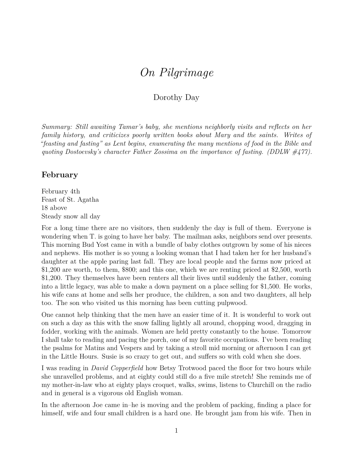## *On Pilgrimage*

## Dorothy Day

*Summary: Still awaiting Tamar's baby, she mentions neighborly visits and reflects on her family history, and criticizes poorly written books about Mary and the saints. Writes of "feasting and fasting" as Lent begins, enumerating the many mentions of food in the Bible and quoting Dostoevsky's character Father Zossima on the importance of fasting. (DDLW #477).*

## **February**

February 4th Feast of St. Agatha 18 above Steady snow all day

For a long time there are no visitors, then suddenly the day is full of them. Everyone is wondering when T. is going to have her baby. The mailman asks, neighbors send over presents. This morning Bud Yost came in with a bundle of baby clothes outgrown by some of his nieces and nephews. His mother is so young a looking woman that I had taken her for her husband's daughter at the apple paring last fall. They are local people and the farms now priced at \$1,200 are worth, to them, \$800; and this one, which we are renting priced at \$2,500, worth \$1,200. They themselves have been renters all their lives until suddenly the father, coming into a little legacy, was able to make a down payment on a place selling for \$1,500. He works, his wife cans at home and sells her produce, the children, a son and two daughters, all help too. The son who visited us this morning has been cutting pulpwood.

One cannot help thinking that the men have an easier time of it. It is wonderful to work out on such a day as this with the snow falling lightly all around, chopping wood, dragging in fodder, working with the animals. Women are held pretty constantly to the house. Tomorrow I shall take to reading and pacing the porch, one of my favorite occupations. I've been reading the psalms for Matins and Vespers and by taking a stroll mid morning or afternoon I can get in the Little Hours. Susie is so crazy to get out, and suffers so with cold when she does.

I was reading in *David Copperfield* how Betsy Trotwood paced the floor for two hours while she unravelled problems, and at eighty could still do a five mile stretch! She reminds me of my mother-in-law who at eighty plays croquet, walks, swims, listens to Churchill on the radio and in general is a vigorous old English woman.

In the afternoon Joe came in–he is moving and the problem of packing, finding a place for himself, wife and four small children is a hard one. He brought jam from his wife. Then in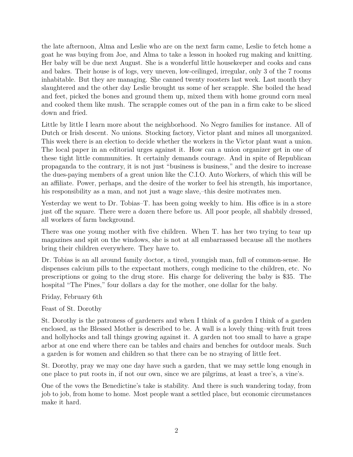the late afternoon, Alma and Leslie who are on the next farm came, Leslie to fetch home a goat he was buying from Joe, and Alma to take a lesson in hooked rug making and knitting. Her baby will be due next August. She is a wonderful little housekeeper and cooks and cans and bakes. Their house is of logs, very uneven, low-ceilinged, irregular, only 3 of the 7 rooms inhabitable. But they are managing. She canned twenty roosters last week. Last month they slaughtered and the other day Leslie brought us some of her scrapple. She boiled the head and feet, picked the bones and ground them up, mixed them with home ground corn meal and cooked them like mush. The scrapple comes out of the pan in a firm cake to be sliced down and fried.

Little by little I learn more about the neighborhood. No Negro families for instance. All of Dutch or Irish descent. No unions. Stocking factory, Victor plant and mines all unorganized. This week there is an election to decide whether the workers in the Victor plant want a union. The local paper in an editorial urges against it. How can a union organizer get in one of these tight little communities. It certainly demands courage. And in spite of Republican propaganda to the contrary, it is not just "business is business," and the desire to increase the dues-paying members of a great union like the C.I.O. Auto Workers, of which this will be an affiliate. Power, perhaps, and the desire of the worker to feel his strength, his importance, his responsibility as a man, and not just a wage slave,–this desire motivates men.

Yesterday we went to Dr. Tobias–T. has been going weekly to him. His office is in a store just off the square. There were a dozen there before us. All poor people, all shabbily dressed, all workers of farm background.

There was one young mother with five children. When T. has her two trying to tear up magazines and spit on the windows, she is not at all embarrassed because all the mothers bring their children everywhere. They have to.

Dr. Tobias is an all around family doctor, a tired, youngish man, full of common-sense. He dispenses calcium pills to the expectant mothers, cough medicine to the children, etc. No prescriptions or going to the drug store. His charge for delivering the baby is \$35. The hospital "The Pines," four dollars a day for the mother, one dollar for the baby.

Friday, February 6th

Feast of St. Dorothy

St. Dorothy is the patroness of gardeners and when I think of a garden I think of a garden enclosed, as the Blessed Mother is described to be. A wall is a lovely thing–with fruit trees and hollyhocks and tall things growing against it. A garden not too small to have a grape arbor at one end where there can be tables and chairs and benches for outdoor meals. Such a garden is for women and children so that there can be no straying of little feet.

St. Dorothy, pray we may one day have such a garden, that we may settle long enough in one place to put roots in, if not our own, since we are pilgrims, at least a tree's, a vine's.

One of the vows the Benedictine's take is stability. And there is such wandering today, from job to job, from home to home. Most people want a settled place, but economic circumstances make it hard.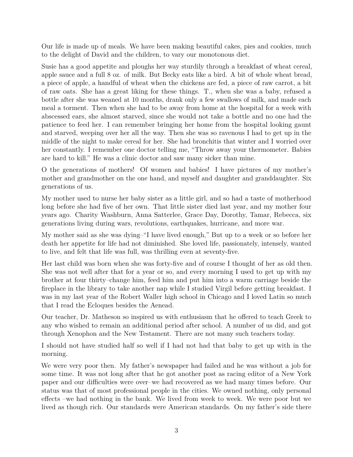Our life is made up of meals. We have been making beautiful cakes, pies and cookies, much to the delight of David and the children, to vary our monotonous diet.

Susie has a good appetite and ploughs her way sturdily through a breakfast of wheat cereal, apple sauce and a full 8 oz. of milk. But Becky eats like a bird. A bit of whole wheat bread, a piece of apple, a handful of wheat when the chickens are fed, a piece of raw carrot, a bit of raw oats. She has a great liking for these things. T., when she was a baby, refused a bottle after she was weaned at 10 months, drank only a few swallows of milk, and made each meal a torment. Then when she had to be away from home at the hospital for a week with abscessed ears, she almost starved, since she would not take a bottle and no one had the patience to feed her. I can remember bringing her home from the hospital looking gaunt and starved, weeping over her all the way. Then she was so ravenous I had to get up in the middle of the night to make cereal for her. She had bronchitis that winter and I worried over her constantly. I remember one doctor telling me, "Throw away your thermometer. Babies are hard to kill." He was a clinic doctor and saw many sicker than mine.

O the generations of mothers! Of women and babies! I have pictures of my mother's mother and grandmother on the one hand, and myself and daughter and granddaughter. Six generations of us.

My mother used to nurse her baby sister as a little girl, and so had a taste of motherhood long before she had five of her own. That little sister died last year, and my mother four years ago. Charity Washburn, Anna Satterlee, Grace Day, Dorothy, Tamar, Rebecca, six generations living during wars, revolutions, earthquakes, hurricane, and more war.

My mother said as she was dying–"I have lived enough," But up to a week or so before her death her appetite for life had not diminished. She loved life, passionately, intensely, wanted to live, and felt that life was full, was thrilling even at seventy-five.

Her last child was born when she was forty-five and of course I thought of her as old then. She was not well after that for a year or so, and every morning I used to get up with my brother at four thirty–change him, feed him and put him into a warm carriage beside the fireplace in the library to take another nap while I studied Virgil before getting breakfast. I was in my last year of the Robert Waller high school in Chicago and I loved Latin so much that I read the Ecloques besides the Aenead.

Our teacher, Dr. Matheson so inspired us with enthusiasm that he offered to teach Greek to any who wished to remain an additional period after school. A number of us did, and got through Xenophon and the New Testament. There are not many such teachers today.

I should not have studied half so well if I had not had that baby to get up with in the morning.

We were very poor then. My father's newspaper had failed and he was without a job for some time. It was not long after that he got another post as racing editor of a New York paper and our difficulties were over–we had recovered as we had many times before. Our status was that of most professional people in the cities. We owned nothing, only personal effects –we had nothing in the bank. We lived from week to week. We were poor but we lived as though rich. Our standards were American standards. On my father's side there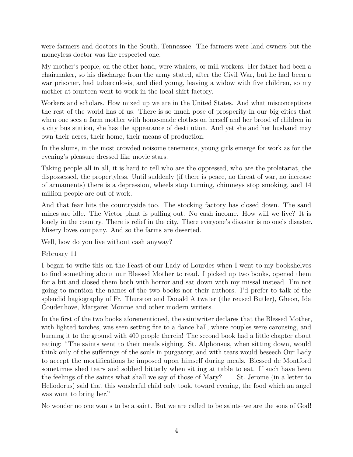were farmers and doctors in the South, Tennessee. The farmers were land owners but the moneyless doctor was the respected one.

My mother's people, on the other hand, were whalers, or mill workers. Her father had been a chairmaker, so his discharge from the army stated, after the Civil War, but he had been a war prisoner, had tuberculosis, and died young, leaving a widow with five children, so my mother at fourteen went to work in the local shirt factory.

Workers and scholars. How mixed up we are in the United States. And what misconceptions the rest of the world has of us. There is so much pose of prosperity in our big cities that when one sees a farm mother with home-made clothes on herself and her brood of children in a city bus station, she has the appearance of destitution. And yet she and her husband may own their acres, their home, their means of production.

In the slums, in the most crowded noisome tenements, young girls emerge for work as for the evening's pleasure dressed like movie stars.

Taking people all in all, it is hard to tell who are the oppressed, who are the proletariat, the dispossessed, the propertyless. Until suddenly (if there is peace, no threat of war, no increase of armaments) there is a depression, wheels stop turning, chimneys stop smoking, and 14 million people are out of work.

And that fear hits the countryside too. The stocking factory has closed down. The sand mines are idle. The Victor plant is pulling out. No cash income. How will we live? It is lonely in the country. There is relief in the city. There everyone's disaster is no one's disaster. Misery loves company. And so the farms are deserted.

Well, how do you live without cash anyway?

February 11

I began to write this on the Feast of our Lady of Lourdes when I went to my bookshelves to find something about our Blessed Mother to read. I picked up two books, opened them for a bit and closed them both with horror and sat down with my missal instead. I'm not going to mention the names of the two books nor their authors. I'd prefer to talk of the splendid hagiography of Fr. Thurston and Donald Attwater (the reused Butler), Gheon, Ida Coudenhove, Margaret Monroe and other modern writers.

In the first of the two books aforementioned, the saintwriter declares that the Blessed Mother, with lighted torches, was seen setting fire to a dance hall, where couples were carousing, and burning it to the ground with 400 people therein! The second book had a little chapter about eating: "The saints went to their meals sighing. St. Alphonsus, when sitting down, would think only of the sufferings of the souls in purgatory, and with tears would beseech Our Lady to accept the mortifications he imposed upon himself during meals. Blessed de Montford sometimes shed tears and sobbed bitterly when sitting at table to eat. If such have been the feelings of the saints what shall we say of those of Mary? . . . St. Jerome (in a letter to Heliodorus) said that this wonderful child only took, toward evening, the food which an angel was wont to bring her."

No wonder no one wants to be a saint. But we are called to be saints–we are the sons of God!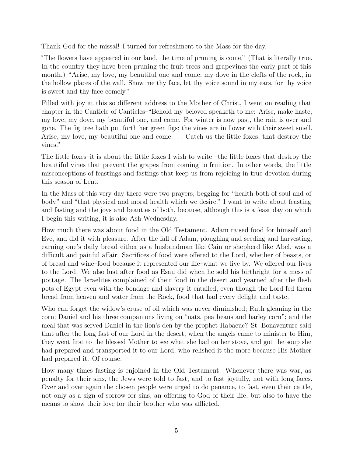Thank God for the missal! I turned for refreshment to the Mass for the day.

"The flowers have appeared in our land, the time of pruning is come." (That is literally true. In the country they have been pruning the fruit trees and grapevines the early part of this month.) "Arise, my love, my beautiful one and come; my dove in the clefts of the rock, in the hollow places of the wall. Show me thy face, let thy voice sound in my ears, for thy voice is sweet and thy face comely."

Filled with joy at this so different address to the Mother of Christ, I went on reading that chapter in the Canticle of Canticles–"Behold my beloved speaketh to me: Arise, make haste, my love, my dove, my beautiful one, and come. For winter is now past, the rain is over and gone. The fig tree hath put forth her green figs; the vines are in flower with their sweet smell. Arise, my love, my beautiful one and come.... Catch us the little foxes, that destroy the vines."

The little foxes–it is about the little foxes I wish to write –the little foxes that destroy the beautiful vines that prevent the grapes from coming to fruition. In other words, the little misconceptions of feastings and fastings that keep us from rejoicing in true devotion during this season of Lent.

In the Mass of this very day there were two prayers, begging for "health both of soul and of body" and "that physical and moral health which we desire." I want to write about feasting and fasting and the joys and beauties of both, because, although this is a feast day on which I begin this writing, it is also Ash Wednesday.

How much there was about food in the Old Testament. Adam raised food for himself and Eve, and did it with pleasure. After the fall of Adam, ploughing and seeding and harvesting, earning one's daily bread either as a husbandman like Cain or shepherd like Abel, was a difficult and painful affair. Sacrifices of food were offered to the Lord, whether of beasts, or of bread and wine–food because it represented our life–what we live by. We offered our lives to the Lord. We also lust after food as Esau did when he sold his birthright for a mess of pottage. The Israelites complained of their food in the desert and yearned after the flesh pots of Egypt even with the bondage and slavery it entailed, even though the Lord fed them bread from heaven and water from the Rock, food that had every delight and taste.

Who can forget the widow's cruse of oil which was never diminished; Ruth gleaning in the corn; Daniel and his three companions living on "oats, pea beans and barley corn"; and the meal that was served Daniel in the lion's den by the prophet Habacuc? St. Bonaventure said that after the long fast of our Lord in the desert, when the angels came to minister to Him, they went first to the blessed Mother to see what she had on her stove, and got the soup she had prepared and transported it to our Lord, who relished it the more because His Mother had prepared it. Of course.

How many times fasting is enjoined in the Old Testament. Whenever there was war, as penalty for their sins, the Jews were told to fast, and to fast joyfully, not with long faces. Over and over again the chosen people were urged to do penance, to fast, even their cattle, not only as a sign of sorrow for sins, an offering to God of their life, but also to have the means to show their love for their brother who was afflicted.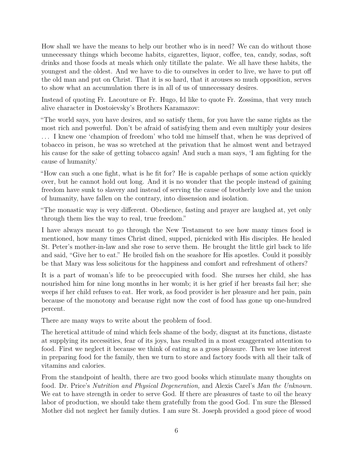How shall we have the means to help our brother who is in need? We can do without those unnecessary things which become habits, cigarettes, liquor, coffee, tea, candy, sodas, soft drinks and those foods at meals which only titillate the palate. We all have these habits, the youngest and the oldest. And we have to die to ourselves in order to live, we have to put off the old man and put on Christ. That it is so hard, that it arouses so much opposition, serves to show what an accumulation there is in all of us of unnecessary desires.

Instead of quoting Fr. Lacouture or Fr. Hugo, Id like to quote Fr. Zossima, that very much alive character in Dostoievsky's Brothers Karamazov:

"The world says, you have desires, and so satisfy them, for you have the same rights as the most rich and powerful. Don't be afraid of satisfying them and even multiply your desires . . . I knew one 'champion of freedom' who told me himself that, when he was deprived of tobacco in prison, he was so wretched at the privation that he almost went and betrayed his cause for the sake of getting tobacco again! And such a man says, 'I am fighting for the cause of humanity.'

"How can such a one fight, what is he fit for? He is capable perhaps of some action quickly over, but he cannot hold out long. And it is no wonder that the people instead of gaining freedom have sunk to slavery and instead of serving the cause of brotherly love and the union of humanity, have fallen on the contrary, into dissension and isolation.

"The monastic way is very different. Obedience, fasting and prayer are laughed at, yet only through them lies the way to real, true freedom."

I have always meant to go through the New Testament to see how many times food is mentioned, how many times Christ dined, supped, picnicked with His disciples. He healed St. Peter's mother-in-law and she rose to serve them. He brought the little girl back to life and said, "Give her to eat." He broiled fish on the seashore for His apostles. Could it possibly be that Mary was less solicitous for the happiness and comfort and refreshment of others?

It is a part of woman's life to be preoccupied with food. She nurses her child, she has nourished him for nine long months in her womb; it is her grief if her breasts fail her; she weeps if her child refuses to eat. Her work, as food provider is her pleasure and her pain, pain because of the monotony and because right now the cost of food has gone up one-hundred percent.

There are many ways to write about the problem of food.

The heretical attitude of mind which feels shame of the body, disgust at its functions, distaste at supplying its necessities, fear of its joys, has resulted in a most exaggerated attention to food. First we neglect it because we think of eating as a gross pleasure. Then we lose interest in preparing food for the family, then we turn to store and factory foods with all their talk of vitamins and calories.

From the standpoint of health, there are two good books which stimulate many thoughts on food. Dr. Price's *Nutrition and Physical Degeneration,* and Alexis Carel's *Man the Unknown.* We eat to have strength in order to serve God. If there are pleasures of taste to oil the heavy labor of production, we should take them gratefully from the good God. I'm sure the Blessed Mother did not neglect her family duties. I am sure St. Joseph provided a good piece of wood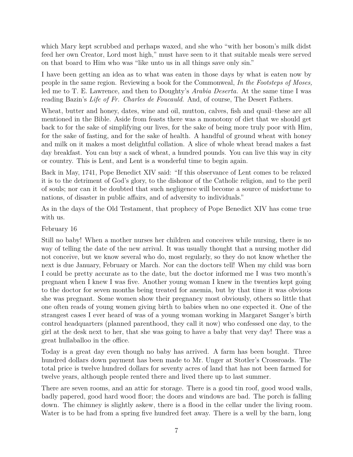which Mary kept scrubbed and perhaps waxed, and she who "with her bosom's milk didst feed her own Creator, Lord most high," must have seen to it that suitable meals were served on that board to Him who was "like unto us in all things save only sin."

I have been getting an idea as to what was eaten in those days by what is eaten now by people in the same region. Reviewing a book for the Commonweal, *In the Footsteps of Moses,* led me to T. E. Lawrence, and then to Doughty's *Arabia Deserta.* At the same time I was reading Bazin's *Life of Fr. Charles de Foucauld.* And, of course, The Desert Fathers.

Wheat, butter and honey, dates, wine and oil, mutton, calves, fish and quail–these are all mentioned in the Bible. Aside from feasts there was a monotony of diet that we should get back to for the sake of simplifying our lives, for the sake of being more truly poor with Him, for the sake of fasting, and for the sake of health. A handful of ground wheat with honey and milk on it makes a most delightful collation. A slice of whole wheat bread makes a fast day breakfast. You can buy a sack of wheat, a hundred pounds. You can live this way in city or country. This is Lent, and Lent is a wonderful time to begin again.

Back in May, 1741, Pope Benedict XIV said: "If this observance of Lent comes to be relaxed it is to the detriment of God's glory, to the dishonor of the Catholic religion, and to the peril of souls; nor can it be doubted that such negligence will become a source of misfortune to nations, of disaster in public affairs, and of adversity to individuals."

As in the days of the Old Testament, that prophecy of Pope Benedict XIV has come true with us.

## February 16

Still no baby! When a mother nurses her children and conceives while nursing, there is no way of telling the date of the new arrival. It was usually thought that a nursing mother did not conceive, but we know several who do, most regularly, so they do not know whether the next is due January, February or March. Nor can the doctors tell! When my child was born I could be pretty accurate as to the date, but the doctor informed me I was two month's pregnant when I knew I was five. Another young woman I knew in the twenties kept going to the doctor for seven months being treated for anemia, but by that time it was obvious she was pregnant. Some women show their pregnancy most obviously, others so little that one often reads of young women giving birth to babies when no one expected it. One of the strangest cases I ever heard of was of a young woman working in Margaret Sanger's birth control headquarters (planned parenthood, they call it now) who confessed one day, to the girl at the desk next to her, that she was going to have a baby that very day! There was a great hullaballoo in the office.

Today is a great day even though no baby has arrived. A farm has been bought. Three hundred dollars down payment has been made to Mr. Unger at Stotler's Crossroads. The total price is twelve hundred dollars for seventy acres of land that has not been farmed for twelve years, although people rented there and lived there up to last summer.

There are seven rooms, and an attic for storage. There is a good tin roof, good wood walls, badly papered, good hard wood floor; the doors and windows are bad. The porch is falling down. The chimney is slightly askew, there is a flood in the cellar under the living room. Water is to be had from a spring five hundred feet away. There is a well by the barn, long